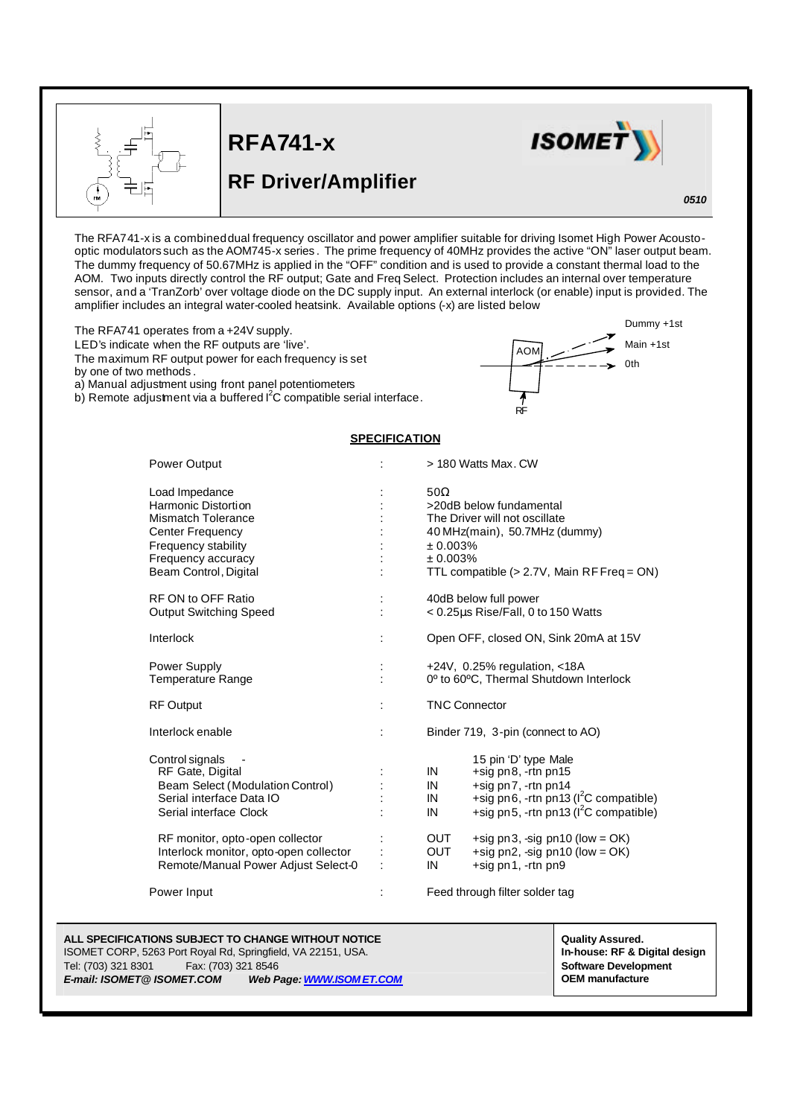



RF

AOM

## **RF Driver/Amplifier**

*0510*

Main +1st 0th

Dummy +1st

The RFA741-x is a combined dual frequency oscillator and power amplifier suitable for driving Isomet High Power Acoustooptic modulators such as the AOM745-x series . The prime frequency of 40MHz provides the active "ON" laser output beam. The dummy frequency of 50.67MHz is applied in the "OFF" condition and is used to provide a constant thermal load to the AOM. Two inputs directly control the RF output; Gate and Freq Select. Protection includes an internal over temperature sensor, and a 'TranZorb' over voltage diode on the DC supply input. An external interlock (or enable) input is provided. The amplifier includes an integral water-cooled heatsink. Available options (-x) are listed below

The RFA741 operates from a +24V supply.

LED's indicate when the RF outputs are 'live'.

The maximum RF output power for each frequency is set

by one of two methods .

L

a) Manual adjustment using front panel potentiometers

b) Remote adjustment via a buffered  $I^2C$  compatible serial interface.

## **SPECIFICATION**

| <b>Power Output</b>                                                                                                                                                                                                                               |        | > 180 Watts Max, CW                                                                                                                                                                                                                                                                                           |
|---------------------------------------------------------------------------------------------------------------------------------------------------------------------------------------------------------------------------------------------------|--------|---------------------------------------------------------------------------------------------------------------------------------------------------------------------------------------------------------------------------------------------------------------------------------------------------------------|
| Load Impedance<br>Harmonic Distortion<br><b>Mismatch Tolerance</b><br><b>Center Frequency</b><br>Frequency stability<br>Frequency accuracy<br>Beam Control, Digital                                                                               |        | $50\Omega$<br>>20dB below fundamental<br>The Driver will not oscillate<br>40 MHz(main), 50.7MHz (dummy)<br>± 0.003%<br>± 0.003%<br>TTL compatible (> 2.7V, Main RF Freq = ON)                                                                                                                                 |
| <b>RF ON to OFF Ratio</b><br><b>Output Switching Speed</b><br>Interlock                                                                                                                                                                           | ÷      | 40dB below full power<br>< 0.25µs Rise/Fall, 0 to 150 Watts<br>Open OFF, closed ON, Sink 20mA at 15V                                                                                                                                                                                                          |
| Power Supply<br><b>Temperature Range</b>                                                                                                                                                                                                          |        | +24V, $0.25%$ regulation, $<$ 18A<br>0° to 60°C, Thermal Shutdown Interlock                                                                                                                                                                                                                                   |
| <b>RF Output</b><br>Interlock enable                                                                                                                                                                                                              | ÷<br>÷ | <b>TNC Connector</b><br>Binder 719, 3-pin (connect to AO)                                                                                                                                                                                                                                                     |
| Control signals<br>RF Gate, Digital<br>Beam Select (Modulation Control)<br>Serial interface Data IO<br>Serial interface Clock<br>RF monitor, opto-open collector<br>Interlock monitor, opto-open collector<br>Remote/Manual Power Adjust Select-0 |        | 15 pin 'D' type Male<br>+sig pn8, -rtn pn15<br>IN<br>+sig pn7, -rtn pn14<br>IN<br>+sig pn6, -rtn pn13 ( $I^2C$ compatible)<br>IN<br>+sig pn5, -rtn pn13 ( $I^2C$ compatible)<br>IN<br>OUT<br>+sig pn3, -sig pn10 (low = $OK$ )<br><b>OUT</b><br>+sig pn2, -sig pn10 (low = $OK$ )<br>+sig pn1, -rtn pn9<br>IN |
| Power Input                                                                                                                                                                                                                                       |        | Feed through filter solder tag                                                                                                                                                                                                                                                                                |

## **ALL SPECIFICATIONS SUBJECT TO CHANGE WITHOUT NOTICE**<br>ISOMET CORP, 5263 Port Royal Rd, Springfield, VA 22151, USA. **And Service Corp. And Service Area Assured.** In-house: RF & Digital design

ISOMET CORP, 5263 Port Royal Rd, Springfield, VA 22151, USA. Tel: (703) 321 8301 Fax: (703) 321 8546 **Software Development Software Development** *E-mail: ISOMET@ ISOMET.COM Web Page: WWW.ISOM ET.COM* **OEM manufacture**